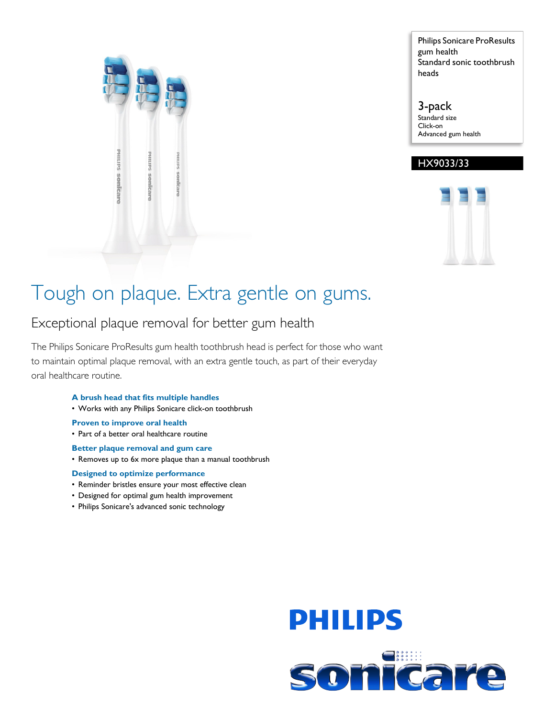

Philips Sonicare ProResults gum health Standard sonic toothbrush heads

3-pack Standard size Click-on Advanced gum health

### HX9033/33



### Tough on plaque. Extra gentle on gums.

### Exceptional plaque removal for better gum health

The Philips Sonicare ProResults gum health toothbrush head is perfect for those who want to maintain optimal plaque removal, with an extra gentle touch, as part of their everyday oral healthcare routine.

#### **A brush head that fits multiple handles**

• Works with any Philips Sonicare click-on toothbrush

#### **Proven to improve oral health**

- Part of a better oral healthcare routine
- **Better plaque removal and gum care**
- Removes up to 6x more plaque than a manual toothbrush

#### **Designed to optimize performance**

- Reminder bristles ensure your most effective clean
- Designed for optimal gum health improvement
- Philips Sonicare's advanced sonic technology